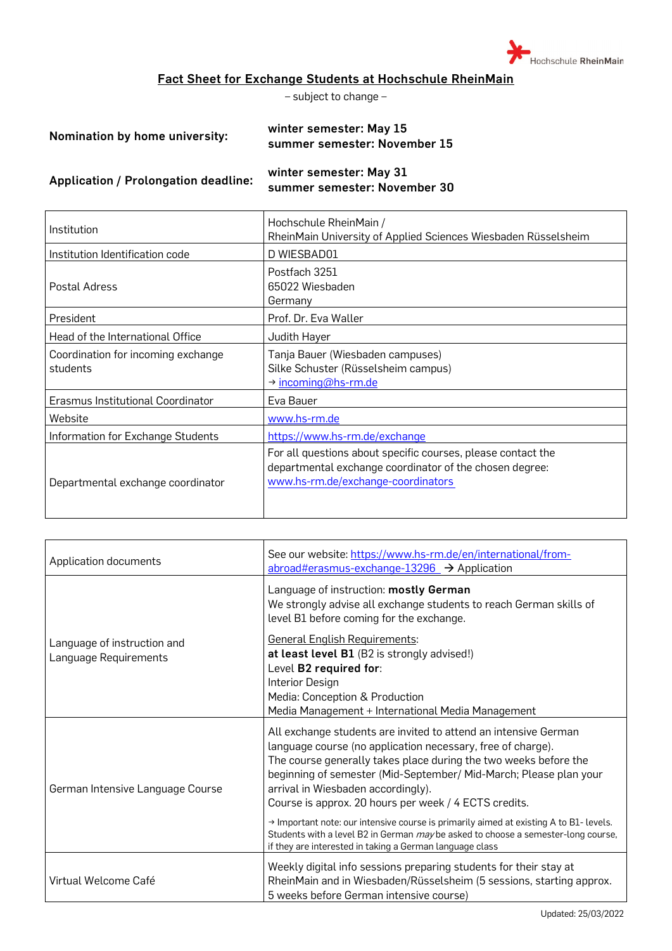

## Fact Sheet for Exchange Students at Hochschule RheinMain

– subject to change –

| Nomination by home university: | winter semester: May 15      |
|--------------------------------|------------------------------|
|                                | summer semester: November 15 |

winter semester: May 31 summer semester: November 30

Application / Prolongation deadline:

| Institution                                    | Hochschule RheinMain /<br>RheinMain University of Applied Sciences Wiesbaden Rüsselsheim                                                                      |
|------------------------------------------------|---------------------------------------------------------------------------------------------------------------------------------------------------------------|
| Institution Identification code                | D WIESBAD01                                                                                                                                                   |
| Postal Adress                                  | Postfach 3251<br>65022 Wiesbaden<br>Germany                                                                                                                   |
| President                                      | Prof. Dr. Eva Waller                                                                                                                                          |
| Head of the International Office               | Judith Hayer                                                                                                                                                  |
| Coordination for incoming exchange<br>students | Tanja Bauer (Wiesbaden campuses)<br>Silke Schuster (Rüsselsheim campus)<br>$\rightarrow$ incoming@hs-rm.de                                                    |
| Erasmus Institutional Coordinator              | Eva Bauer                                                                                                                                                     |
| Website                                        | www.hs-rm.de                                                                                                                                                  |
| Information for Exchange Students              | https://www.hs-rm.de/exchange                                                                                                                                 |
| Departmental exchange coordinator              | For all questions about specific courses, please contact the<br>departmental exchange coordinator of the chosen degree:<br>www.hs-rm.de/exchange-coordinators |

| Application documents                                | See our website: https://www.hs-rm.de/en/international/from-<br>abroad#erasmus-exchange-13296 → Application                                                                                                                                                                                                                                                            |
|------------------------------------------------------|------------------------------------------------------------------------------------------------------------------------------------------------------------------------------------------------------------------------------------------------------------------------------------------------------------------------------------------------------------------------|
| Language of instruction and<br>Language Requirements | Language of instruction: mostly German<br>We strongly advise all exchange students to reach German skills of<br>level B1 before coming for the exchange.                                                                                                                                                                                                               |
|                                                      | <b>General English Requirements:</b><br>at least level B1 (B2 is strongly advised!)                                                                                                                                                                                                                                                                                    |
|                                                      | Level B2 required for:<br>Interior Design                                                                                                                                                                                                                                                                                                                              |
|                                                      | Media: Conception & Production<br>Media Management + International Media Management                                                                                                                                                                                                                                                                                    |
| German Intensive Language Course                     | All exchange students are invited to attend an intensive German<br>language course (no application necessary, free of charge).<br>The course generally takes place during the two weeks before the<br>beginning of semester (Mid-September/ Mid-March; Please plan your<br>arrival in Wiesbaden accordingly).<br>Course is approx. 20 hours per week / 4 ECTS credits. |
|                                                      | → Important note: our intensive course is primarily aimed at existing A to B1- levels.<br>Students with a level B2 in German <i>may</i> be asked to choose a semester-long course,<br>if they are interested in taking a German language class                                                                                                                         |
| Virtual Welcome Café                                 | Weekly digital info sessions preparing students for their stay at<br>RheinMain and in Wiesbaden/Rüsselsheim (5 sessions, starting approx.<br>5 weeks before German intensive course)                                                                                                                                                                                   |

Updated: 25/03/2022